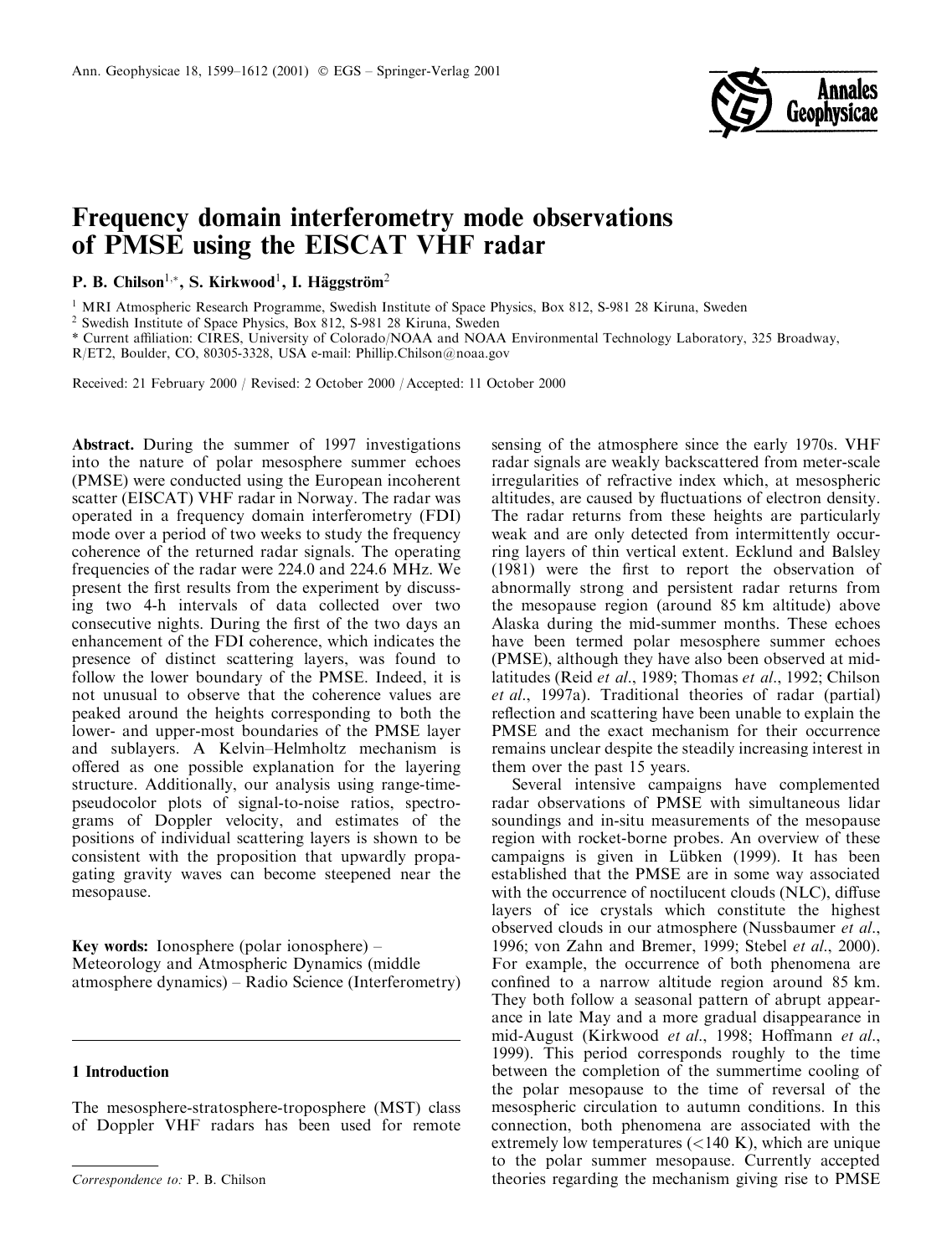

# Frequency domain interferometry mode observations of PMSE using the EISCAT VHF radar

P. B. Chilson<sup>1,\*</sup>, S. Kirkwood<sup>1</sup>, I. Häggström<sup>2</sup>

<sup>1</sup> MRI Atmospheric Research Programme, Swedish Institute of Space Physics, Box 812, S-981 28 Kiruna, Sweden

<sup>2</sup> Swedish Institute of Space Physics, Box 812, S-981 28 Kiruna, Sweden

\* Current affiliation: CIRES, University of Colorado/NOAA and NOAA Environmental Technology Laboratory, 325 Broadway,

R/ET2, Boulder, CO, 80305-3328, USA e-mail: Phillip.Chilson@noaa.gov

Received: 21 February 2000 / Revised: 2 October 2000 / Accepted: 11 October 2000

**Abstract.** During the summer of 1997 investigations into the nature of polar mesosphere summer echoes (PMSE) were conducted using the European incoherent scatter (EISCAT) VHF radar in Norway. The radar was operated in a frequency domain interferometry (FDI) mode over a period of two weeks to study the frequency coherence of the returned radar signals. The operating frequencies of the radar were 224.0 and 224.6 MHz. We present the first results from the experiment by discussing two 4-h intervals of data collected over two consecutive nights. During the first of the two days an enhancement of the FDI coherence, which indicates the presence of distinct scattering layers, was found to follow the lower boundary of the PMSE. Indeed, it is not unusual to observe that the coherence values are peaked around the heights corresponding to both the lower- and upper-most boundaries of the PMSE layer and sublayers. A Kelvin–Helmholtz mechanism is offered as one possible explanation for the layering structure. Additionally, our analysis using range-timepseudocolor plots of signal-to-noise ratios, spectrograms of Doppler velocity, and estimates of the positions of individual scattering layers is shown to be consistent with the proposition that upwardly propagating gravity waves can become steepened near the mesopause.

**Key words:** Ionosphere (polar ionosphere) – Meteorology and Atmospheric Dynamics (middle atmosphere dynamics) – Radio Science (Interferometry)

## 1 Introduction

The mesosphere-stratosphere-troposphere (MST) class of Doppler VHF radars has been used for remote sensing of the atmosphere since the early 1970s. VHF radar signals are weakly backscattered from meter-scale irregularities of refractive index which, at mesospheric altitudes, are caused by fluctuations of electron density. The radar returns from these heights are particularly weak and are only detected from intermittently occurring layers of thin vertical extent. Ecklund and Balsley (1981) were the first to report the observation of abnormally strong and persistent radar returns from the mesopause region (around 85 km altitude) above Alaska during the mid-summer months. These echoes have been termed polar mesosphere summer echoes (PMSE), although they have also been observed at midlatitudes (Reid *et al.*, 1989; Thomas *et al.*, 1992; Chilson et al., 1997a). Traditional theories of radar (partial) reflection and scattering have been unable to explain the PMSE and the exact mechanism for their occurrence remains unclear despite the steadily increasing interest in them over the past 15 years.

Several intensive campaigns have complemented radar observations of PMSE with simultaneous lidar soundings and in-situ measurements of the mesopause region with rocket-borne probes. An overview of these campaigns is given in Lübken (1999). It has been established that the PMSE are in some way associated with the occurrence of noctilucent clouds (NLC), diffuse layers of ice crystals which constitute the highest observed clouds in our atmosphere (Nussbaumer et al., 1996; von Zahn and Bremer, 1999; Stebel et al., 2000). For example, the occurrence of both phenomena are confined to a narrow altitude region around 85 km. They both follow a seasonal pattern of abrupt appearance in late May and a more gradual disappearance in mid-August (Kirkwood et al., 1998; Hoffmann et al., 1999). This period corresponds roughly to the time between the completion of the summertime cooling of the polar mesopause to the time of reversal of the mesospheric circulation to autumn conditions. In this connection, both phenomena are associated with the extremely low temperatures  $(<140 K)$ , which are unique to the polar summer mesopause. Currently accepted theories regarding the mechanism giving rise to PMSE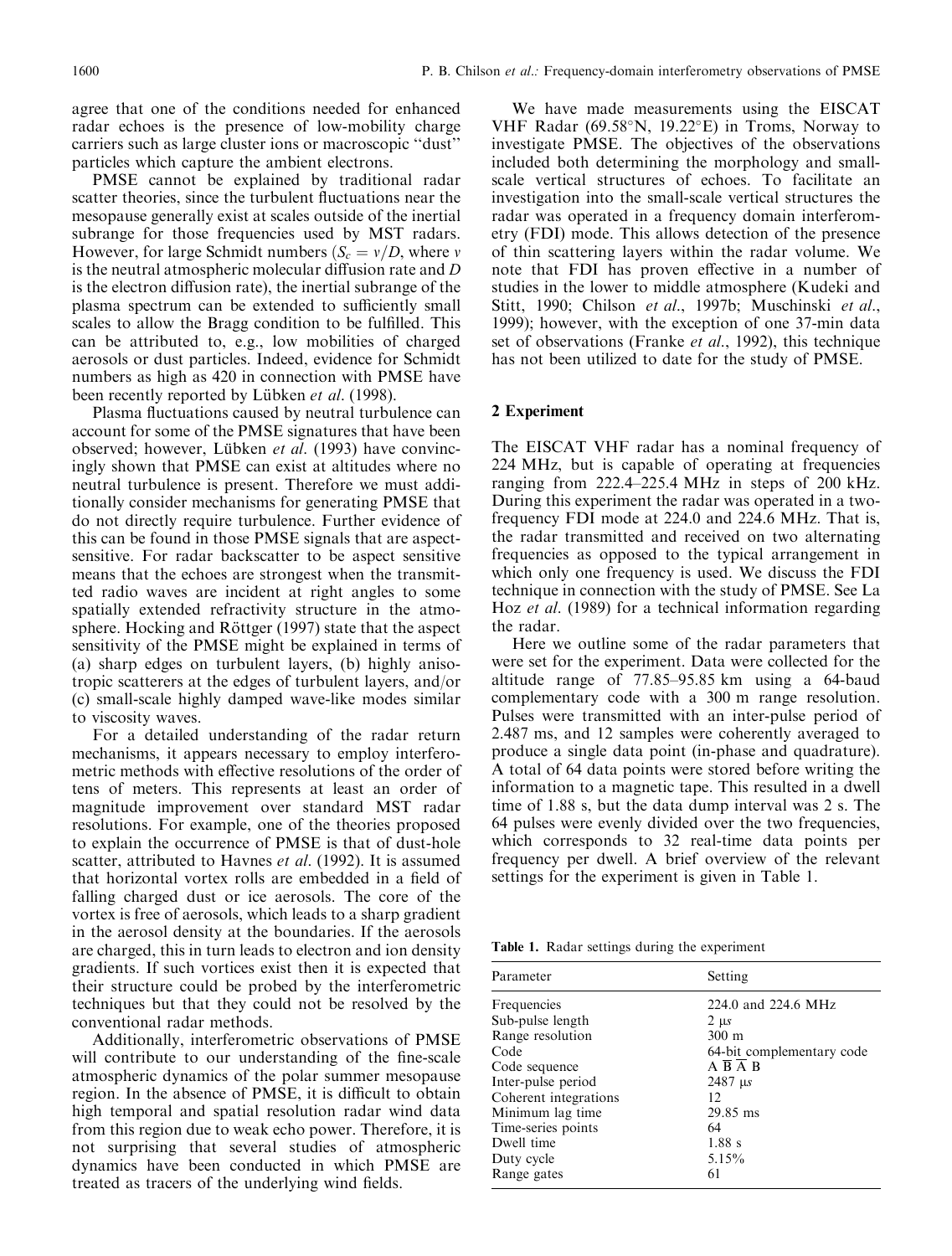agree that one of the conditions needed for enhanced radar echoes is the presence of low-mobility charge carriers such as large cluster ions or macroscopic "dust" particles which capture the ambient electrons.

PMSE cannot be explained by traditional radar scatter theories, since the turbulent fluctuations near the mesopause generally exist at scales outside of the inertial subrange for those frequencies used by MST radars. However, for large Schmidt numbers ( $S_c = v/D$ , where v is the neutral atmospheric molecular diffusion rate and D is the electron diffusion rate), the inertial subrange of the plasma spectrum can be extended to sufficiently small scales to allow the Bragg condition to be fulfilled. This can be attributed to, e.g., low mobilities of charged aerosols or dust particles. Indeed, evidence for Schmidt numbers as high as 420 in connection with PMSE have been recently reported by Lübken et al. (1998).

Plasma fluctuations caused by neutral turbulence can account for some of the PMSE signatures that have been observed; however, Lübken et al. (1993) have convincingly shown that PMSE can exist at altitudes where no neutral turbulence is present. Therefore we must additionally consider mechanisms for generating PMSE that do not directly require turbulence. Further evidence of this can be found in those PMSE signals that are aspectsensitive. For radar backscatter to be aspect sensitive means that the echoes are strongest when the transmitted radio waves are incident at right angles to some spatially extended refractivity structure in the atmosphere. Hocking and Röttger (1997) state that the aspect sensitivity of the PMSE might be explained in terms of (a) sharp edges on turbulent layers, (b) highly anisotropic scatterers at the edges of turbulent layers, and/or (c) small-scale highly damped wave-like modes similar to viscosity waves.

For a detailed understanding of the radar return mechanisms, it appears necessary to employ interferometric methods with effective resolutions of the order of tens of meters. This represents at least an order of magnitude improvement over standard MST radar resolutions. For example, one of the theories proposed to explain the occurrence of PMSE is that of dust-hole scatter, attributed to Havnes et al. (1992). It is assumed that horizontal vortex rolls are embedded in a field of falling charged dust or ice aerosols. The core of the vortex is free of aerosols, which leads to a sharp gradient in the aerosol density at the boundaries. If the aerosols are charged, this in turn leads to electron and ion density gradients. If such vortices exist then it is expected that their structure could be probed by the interferometric techniques but that they could not be resolved by the conventional radar methods.

Additionally, interferometric observations of PMSE will contribute to our understanding of the fine-scale atmospheric dynamics of the polar summer mesopause region. In the absence of PMSE, it is difficult to obtain high temporal and spatial resolution radar wind data from this region due to weak echo power. Therefore, it is not surprising that several studies of atmospheric dynamics have been conducted in which PMSE are treated as tracers of the underlying wind fields.

We have made measurements using the EISCAT VHF Radar (69.58°N, 19.22°E) in Troms, Norway to investigate PMSE. The objectives of the observations included both determining the morphology and smallscale vertical structures of echoes. To facilitate an investigation into the small-scale vertical structures the radar was operated in a frequency domain interferometry (FDI) mode. This allows detection of the presence of thin scattering layers within the radar volume. We note that FDI has proven effective in a number of studies in the lower to middle atmosphere (Kudeki and Stitt, 1990; Chilson et al., 1997b; Muschinski et al., 1999); however, with the exception of one 37-min data set of observations (Franke et al., 1992), this technique has not been utilized to date for the study of PMSE.

## 2 Experiment

The EISCAT VHF radar has a nominal frequency of 224 MHz, but is capable of operating at frequencies ranging from 222.4–225.4 MHz in steps of 200 kHz. During this experiment the radar was operated in a twofrequency FDI mode at 224.0 and 224.6 MHz. That is, the radar transmitted and received on two alternating frequencies as opposed to the typical arrangement in which only one frequency is used. We discuss the FDI technique in connection with the study of PMSE. See La Hoz et al. (1989) for a technical information regarding the radar.

Here we outline some of the radar parameters that were set for the experiment. Data were collected for the altitude range of 77.85–95.85 km using a 64-baud complementary code with a 300 m range resolution. Pulses were transmitted with an inter-pulse period of 2.487 ms, and 12 samples were coherently averaged to produce a single data point (in-phase and quadrature). A total of 64 data points were stored before writing the information to a magnetic tape. This resulted in a dwell time of 1.88 s, but the data dump interval was 2 s. The 64 pulses were evenly divided over the two frequencies, which corresponds to 32 real-time data points per frequency per dwell. A brief overview of the relevant settings for the experiment is given in Table 1.

Table 1. Radar settings during the experiment

| Parameter             | Setting                   |
|-----------------------|---------------------------|
| Frequencies           | 224.0 and 224.6 MHz       |
| Sub-pulse length      | $2 \mu s$                 |
| Range resolution      | $300 \text{ m}$           |
| Code                  | 64-bit complementary code |
| Code sequence         | $\overline{AB}$ A B       |
| Inter-pulse period    | $2487 \text{ }\mu s$      |
| Coherent integrations | 12                        |
| Minimum lag time      | 29.85 ms                  |
| Time-series points    | 64                        |
| Dwell time            | $1.88$ s                  |
| Duty cycle            | 5.15%                     |
| Range gates           | 61                        |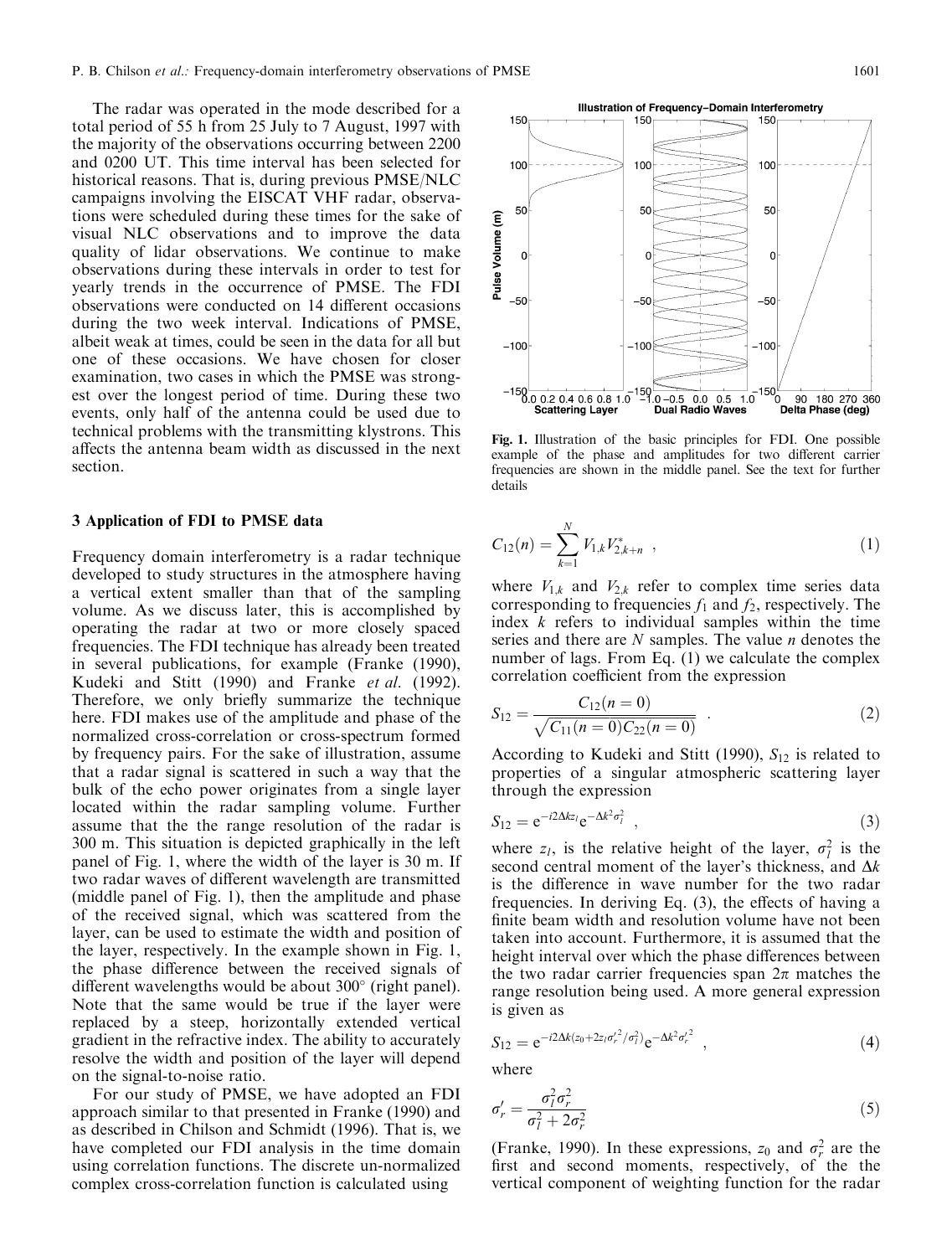The radar was operated in the mode described for a total period of 55 h from 25 July to 7 August, 1997 with the majority of the observations occurring between 2200 and 0200 UT. This time interval has been selected for historical reasons. That is, during previous PMSE/NLC campaigns involving the EISCAT VHF radar, observations were scheduled during these times for the sake of visual NLC observations and to improve the data quality of lidar observations. We continue to make observations during these intervals in order to test for yearly trends in the occurrence of PMSE. The FDI observations were conducted on 14 different occasions during the two week interval. Indications of PMSE, albeit weak at times, could be seen in the data for all but one of these occasions. We have chosen for closer examination, two cases in which the PMSE was strongest over the longest period of time. During these two events, only half of the antenna could be used due to technical problems with the transmitting klystrons. This affects the antenna beam width as discussed in the next section.

#### 3 Application of FDI to PMSE data

Frequency domain interferometry is a radar technique developed to study structures in the atmosphere having a vertical extent smaller than that of the sampling volume. As we discuss later, this is accomplished by operating the radar at two or more closely spaced frequencies. The FDI technique has already been treated in several publications, for example (Franke (1990), Kudeki and Stitt (1990) and Franke et al. (1992). Therefore, we only briefly summarize the technique here. FDI makes use of the amplitude and phase of the normalized cross-correlation or cross-spectrum formed by frequency pairs. For the sake of illustration, assume that a radar signal is scattered in such a way that the bulk of the echo power originates from a single layer located within the radar sampling volume. Further assume that the the range resolution of the radar is 300 m. This situation is depicted graphically in the left panel of Fig. 1, where the width of the layer is 30 m. If two radar waves of different wavelength are transmitted (middle panel of Fig. 1), then the amplitude and phase of the received signal, which was scattered from the layer, can be used to estimate the width and position of the layer, respectively. In the example shown in Fig. 1, the phase difference between the received signals of different wavelengths would be about  $300^{\circ}$  (right panel). Note that the same would be true if the layer were replaced by a steep, horizontally extended vertical gradient in the refractive index. The ability to accurately resolve the width and position of the layer will depend on the signal-to-noise ratio.

For our study of PMSE, we have adopted an FDI approach similar to that presented in Franke (1990) and as described in Chilson and Schmidt (1996). That is, we have completed our FDI analysis in the time domain using correlation functions. The discrete un-normalized complex cross-correlation function is calculated using

Fig. 1. Illustration of the basic principles for FDI. One possible example of the phase and amplitudes for two different carrier frequencies are shown in the middle panel. See the text for further details

$$
C_{12}(n) = \sum_{k=1}^{N} V_{1,k} V_{2,k+n}^{*} \t\t(1)
$$

where  $V_{1,k}$  and  $V_{2,k}$  refer to complex time series data corresponding to frequencies  $f_1$  and  $f_2$ , respectively. The index  $k$  refers to individual samples within the time series and there are  $N$  samples. The value  $n$  denotes the number of lags. From Eq. (1) we calculate the complex correlation coefficient from the expression

$$
S_{12} = \frac{C_{12}(n=0)}{\sqrt{C_{11}(n=0)C_{22}(n=0)}}.
$$
 (2)

According to Kudeki and Stitt (1990),  $S_{12}$  is related to properties of a singular atmospheric scattering layer through the expression

$$
S_{12} = e^{-i2\Delta k z_l} e^{-\Delta k^2 \sigma_l^2} \t\t(3)
$$

where  $z_l$ , is the relative height of the layer,  $\sigma_l^2$  is the second central moment of the layer's thickness, and  $\Delta k$ is the difference in wave number for the two radar frequencies. In deriving Eq. (3), the effects of having a finite beam width and resolution volume have not been taken into account. Furthermore, it is assumed that the height interval over which the phase differences between the two radar carrier frequencies span  $2\pi$  matches the range resolution being used. A more general expression is given as

$$
S_{12} = e^{-i2\Delta k (z_0 + 2z_I \sigma_r'^2/\sigma_I^2)} e^{-\Delta k^2 \sigma_r'^2} \quad , \tag{4}
$$

where

$$
\sigma'_{r} = \frac{\sigma_{l}^{2} \sigma_{r}^{2}}{\sigma_{l}^{2} + 2\sigma_{r}^{2}}\tag{5}
$$

(Franke, 1990). In these expressions,  $z_0$  and  $\sigma_r^2$  are the first and second moments, respectively, of the the vertical component of weighting function for the radar

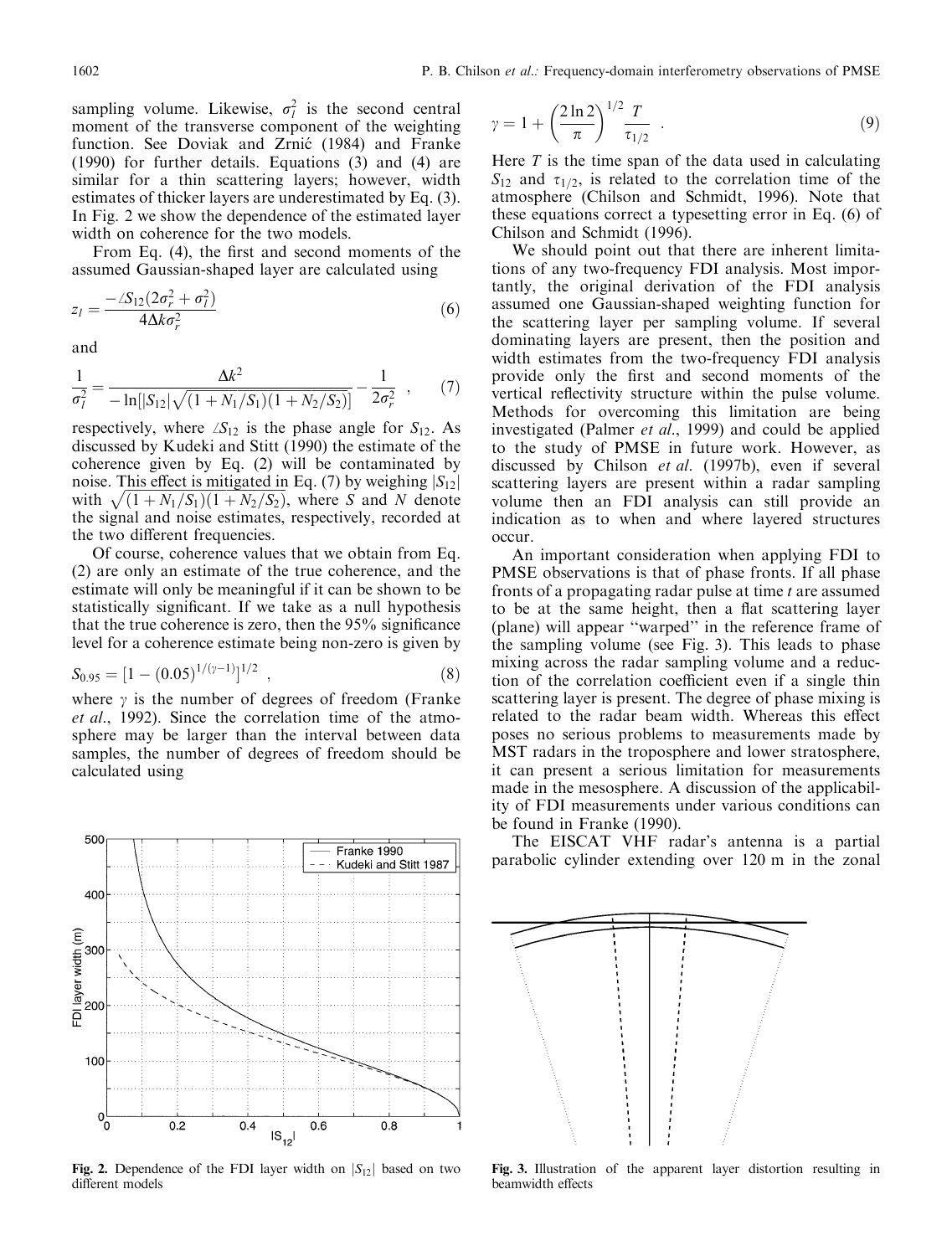sampling volume. Likewise,  $\sigma_l^2$  is the second central moment of the transverse component of the weighting function. See Doviak and Zrnić (1984) and Franke  $(1990)$  for further details. Equations  $(3)$  and  $(4)$  are similar for a thin scattering layers; however, width estimates of thicker layers are underestimated by Eq. (3). In Fig. 2 we show the dependence of the estimated layer width on coherence for the two models.

From Eq. (4), the first and second moments of the assumed Gaussian-shaped layer are calculated using

$$
z_{l} = \frac{-\angle S_{12}(2\sigma_{r}^{2} + \sigma_{l}^{2})}{4\Delta k \sigma_{r}^{2}}
$$
(6)

and

$$
\frac{1}{\sigma_l^2} = \frac{\Delta k^2}{-\ln[|S_{12}|\sqrt{(1+N_1/S_1)(1+N_2/S_2)}]} - \frac{1}{2\sigma_r^2} \quad , \qquad (7)
$$

respectively, where  $\Delta S_{12}$  is the phase angle for  $S_{12}$ . As discussed by Kudeki and Stitt (1990) the estimate of the coherence given by Eq. (2) will be contaminated by noise. This effect is mitigated in Eq. (7) by weighing  $|S_{12}|$ with  $\sqrt{(1+N_1/S_1)(1+N_2/S_2)}$ , where S and N denote the signal and noise estimates, respectively, recorded at the two different frequencies.

Of course, coherence values that we obtain from Eq. (2) are only an estimate of the true coherence, and the estimate will only be meaningful if it can be shown to be statistically significant. If we take as a null hypothesis that the true coherence is zero, then the 95% significance level for a coherence estimate being non-zero is given by

$$
S_{0.95} = [1 - (0.05)^{1/(\gamma - 1)}]^{1/2} \t{, \t(8)}
$$

 $\sim$   $\sim$ 

where  $\gamma$  is the number of degrees of freedom (Franke *et al.*, 1992). Since the correlation time of the atmosphere may be larger than the interval between data samples, the number of degrees of freedom should be calculated using



Fig. 2. Dependence of the FDI layer width on  $|S_{12}|$  based on two different models

$$
\gamma = 1 + \left(\frac{2\ln 2}{\pi}\right)^{1/2} \frac{T}{\tau_{1/2}} \tag{9}
$$

Here  $T$  is the time span of the data used in calculating  $S_{12}$  and  $\tau_{1/2}$ , is related to the correlation time of the atmosphere (Chilson and Schmidt, 1996). Note that these equations correct a typesetting error in Eq. (6) of Chilson and Schmidt (1996).

We should point out that there are inherent limitations of any two-frequency FDI analysis. Most importantly, the original derivation of the FDI analysis assumed one Gaussian-shaped weighting function for the scattering layer per sampling volume. If several dominating layers are present, then the position and width estimates from the two-frequency FDI analysis provide only the first and second moments of the vertical reflectivity structure within the pulse volume. Methods for overcoming this limitation are being investigated (Palmer *et al.*, 1999) and could be applied to the study of PMSE in future work. However, as discussed by Chilson et al. (1997b), even if several scattering layers are present within a radar sampling volume then an FDI analysis can still provide an indication as to when and where layered structures  $occ<sub>II</sub>$ 

An important consideration when applying FDI to PMSE observations is that of phase fronts. If all phase fronts of a propagating radar pulse at time t are assumed to be at the same height, then a flat scattering layer (plane) will appear "warped" in the reference frame of the sampling volume (see Fig. 3). This leads to phase mixing across the radar sampling volume and a reduction of the correlation coefficient even if a single thin scattering layer is present. The degree of phase mixing is related to the radar beam width. Whereas this effect poses no serious problems to measurements made by MST radars in the troposphere and lower stratosphere, it can present a serious limitation for measurements made in the mesosphere. A discussion of the applicability of FDI measurements under various conditions can be found in Franke (1990).

The EISCAT VHF radar's antenna is a partial parabolic cylinder extending over 120 m in the zonal



Fig. 3. Illustration of the apparent layer distortion resulting in beamwidth effects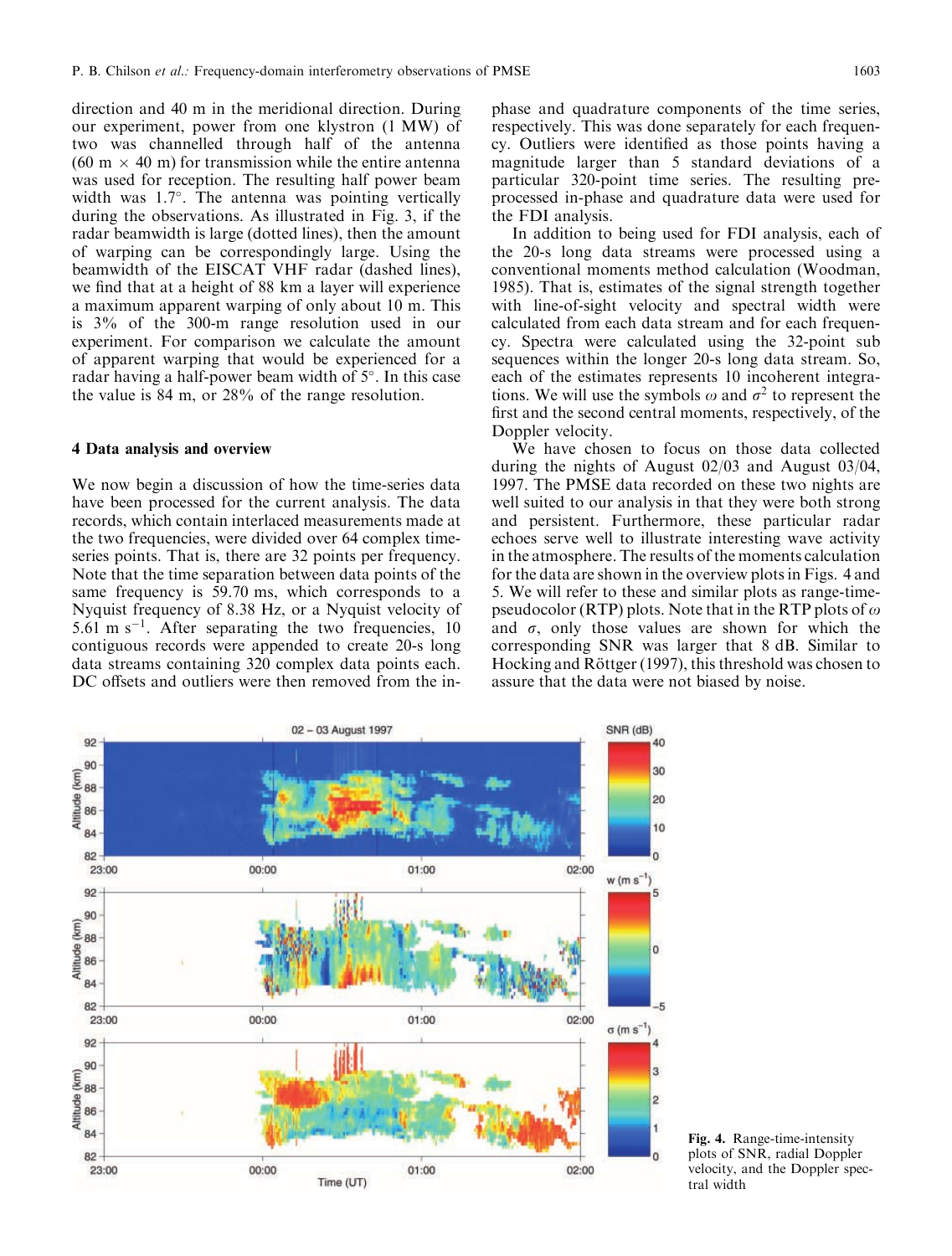direction and 40 m in the meridional direction. During our experiment, power from one klystron (1 MW) of two was channelled through half of the antenna  $(60 \text{ m} \times 40 \text{ m})$  for transmission while the entire antenna was used for reception. The resulting half power beam width was  $1.7^{\circ}$ . The antenna was pointing vertically during the observations. As illustrated in Fig. 3, if the radar beamwidth is large (dotted lines), then the amount of warping can be correspondingly large. Using the beamwidth of the EISCAT VHF radar (dashed lines), we find that at a height of 88 km a layer will experience a maximum apparent warping of only about 10 m. This is  $3\%$  of the 300-m range resolution used in our experiment. For comparison we calculate the amount of apparent warping that would be experienced for a radar having a half-power beam width of 5°. In this case the value is  $84 \text{ m}$ , or  $28\%$  of the range resolution.

### 4 Data analysis and overview

We now begin a discussion of how the time-series data have been processed for the current analysis. The data records, which contain interlaced measurements made at the two frequencies, were divided over 64 complex timeseries points. That is, there are 32 points per frequency. Note that the time separation between data points of the same frequency is 59.70 ms, which corresponds to a Nyquist frequency of 8.38 Hz, or a Nyquist velocity of 5.61 m s<sup>-1</sup>. After separating the two frequencies, 10 contiguous records were appended to create 20-s long data streams containing 320 complex data points each. DC offsets and outliers were then removed from the inphase and quadrature components of the time series, respectively. This was done separately for each frequency. Outliers were identified as those points having a magnitude larger than 5 standard deviations of a particular 320-point time series. The resulting preprocessed in-phase and quadrature data were used for the FDI analysis.

In addition to being used for FDI analysis, each of the 20-s long data streams were processed using a conventional moments method calculation (Woodman, 1985). That is, estimates of the signal strength together with line-of-sight velocity and spectral width were calculated from each data stream and for each frequency. Spectra were calculated using the 32-point sub sequences within the longer 20-s long data stream. So, each of the estimates represents 10 incoherent integrations. We will use the symbols  $\omega$  and  $\sigma^2$  to represent the first and the second central moments, respectively, of the Doppler velocity.

We have chosen to focus on those data collected during the nights of August  $02/03$  and August  $03/04$ , 1997. The PMSE data recorded on these two nights are well suited to our analysis in that they were both strong and persistent. Furthermore, these particular radar echoes serve well to illustrate interesting wave activity in the atmosphere. The results of the moments calculation for the data are shown in the overview plots in Figs. 4 and 5. We will refer to these and similar plots as range-timepseudocolor (RTP) plots. Note that in the RTP plots of  $\omega$ and  $\sigma$ , only those values are shown for which the corresponding SNR was larger that 8 dB. Similar to Hocking and Röttger (1997), this threshold was chosen to assure that the data were not biased by noise.



Fig. 4. Range-time-intensity plots of SNR, radial Doppler velocity, and the Doppler spectral width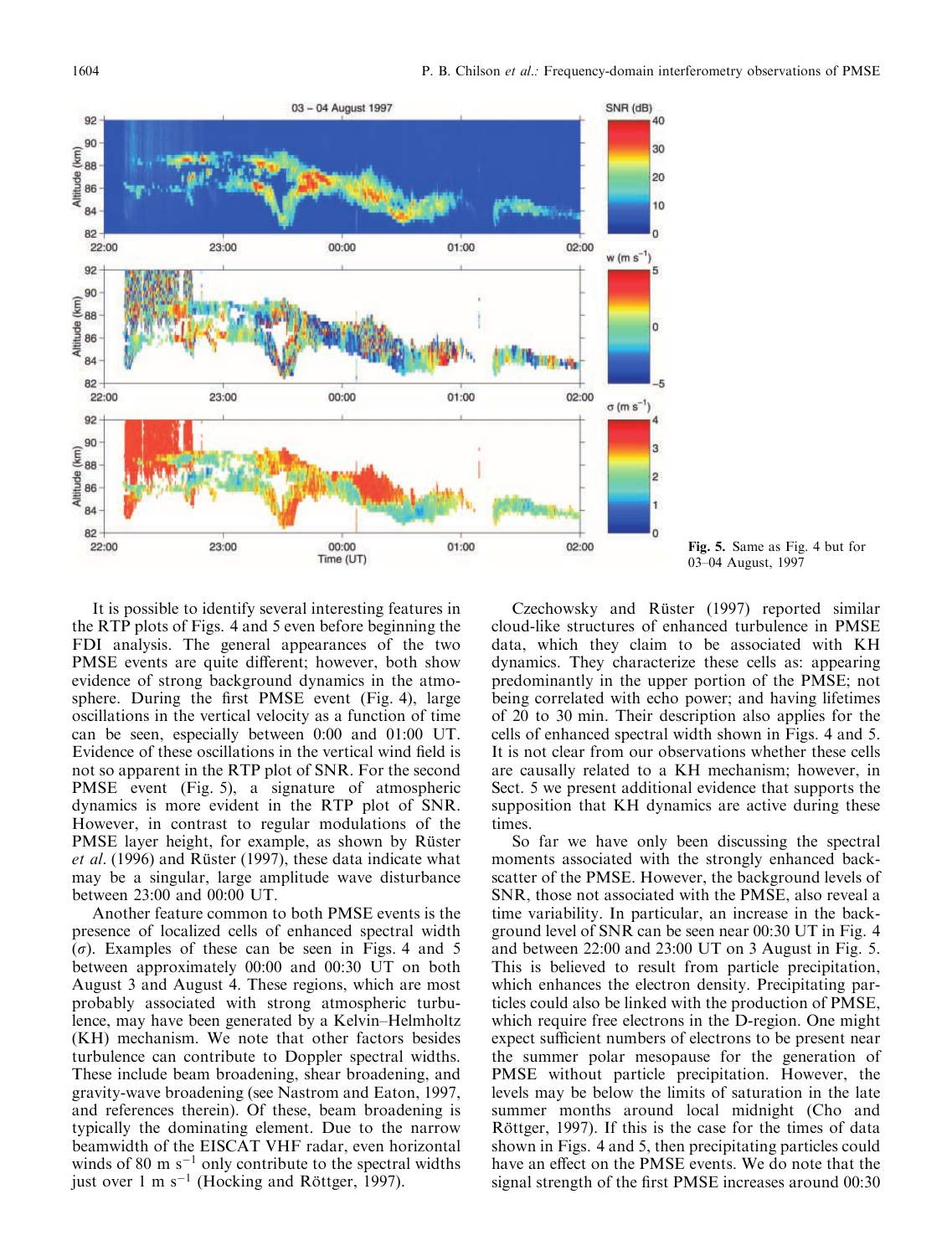

Fig. 5. Same as Fig. 4 but for 03–04 August, 1997

It is possible to identify several interesting features in the RTP plots of Figs. 4 and 5 even before beginning the FDI analysis. The general appearances of the two PMSE events are quite different; however, both show evidence of strong background dynamics in the atmosphere. During the first PMSE event (Fig. 4), large oscillations in the vertical velocity as a function of time can be seen, especially between 0:00 and 01:00 UT. Evidence of these oscillations in the vertical wind field is not so apparent in the RTP plot of SNR. For the second PMSE event (Fig. 5), a signature of atmospheric dynamics is more evident in the RTP plot of SNR. However, in contrast to regular modulations of the PMSE layer height, for example, as shown by Rüster et al. (1996) and Rüster (1997), these data indicate what may be a singular, large amplitude wave disturbance between 23:00 and 00:00 UT.

Another feature common to both PMSE events is the presence of localized cells of enhanced spectral width  $(\sigma)$ . Examples of these can be seen in Figs. 4 and 5 between approximately 00:00 and 00:30 UT on both August 3 and August 4. These regions, which are most probably associated with strong atmospheric turbulence, may have been generated by a Kelvin–Helmholtz (KH) mechanism. We note that other factors besides turbulence can contribute to Doppler spectral widths. These include beam broadening, shear broadening, and gravity-wave broadening (see Nastrom and Eaton, 1997, and references therein). Of these, beam broadening is typically the dominating element. Due to the narrow beamwidth of the EISCAT VHF radar, even horizontal winds of 80 m  $s^{-1}$  only contribute to the spectral widths just over 1 m  $s^{-1}$  (Hocking and Röttger, 1997).

Czechowsky and Rüster (1997) reported similar cloud-like structures of enhanced turbulence in PMSE data, which they claim to be associated with KH dynamics. They characterize these cells as: appearing predominantly in the upper portion of the PMSE; not being correlated with echo power; and having lifetimes of 20 to 30 min. Their description also applies for the cells of enhanced spectral width shown in Figs. 4 and 5. It is not clear from our observations whether these cells are causally related to a KH mechanism; however, in Sect. 5 we present additional evidence that supports the supposition that KH dynamics are active during these times.

So far we have only been discussing the spectral moments associated with the strongly enhanced backscatter of the PMSE. However, the background levels of SNR, those not associated with the PMSE, also reveal a time variability. In particular, an increase in the background level of SNR can be seen near 00:30 UT in Fig. 4 and between 22:00 and 23:00 UT on 3 August in Fig. 5. This is believed to result from particle precipitation, which enhances the electron density. Precipitating particles could also be linked with the production of PMSE, which require free electrons in the D-region. One might expect sufficient numbers of electrons to be present near the summer polar mesopause for the generation of PMSE without particle precipitation. However, the levels may be below the limits of saturation in the late summer months around local midnight (Cho and Röttger, 1997). If this is the case for the times of data shown in Figs. 4 and 5, then precipitating particles could have an effect on the PMSE events. We do note that the signal strength of the first PMSE increases around 00:30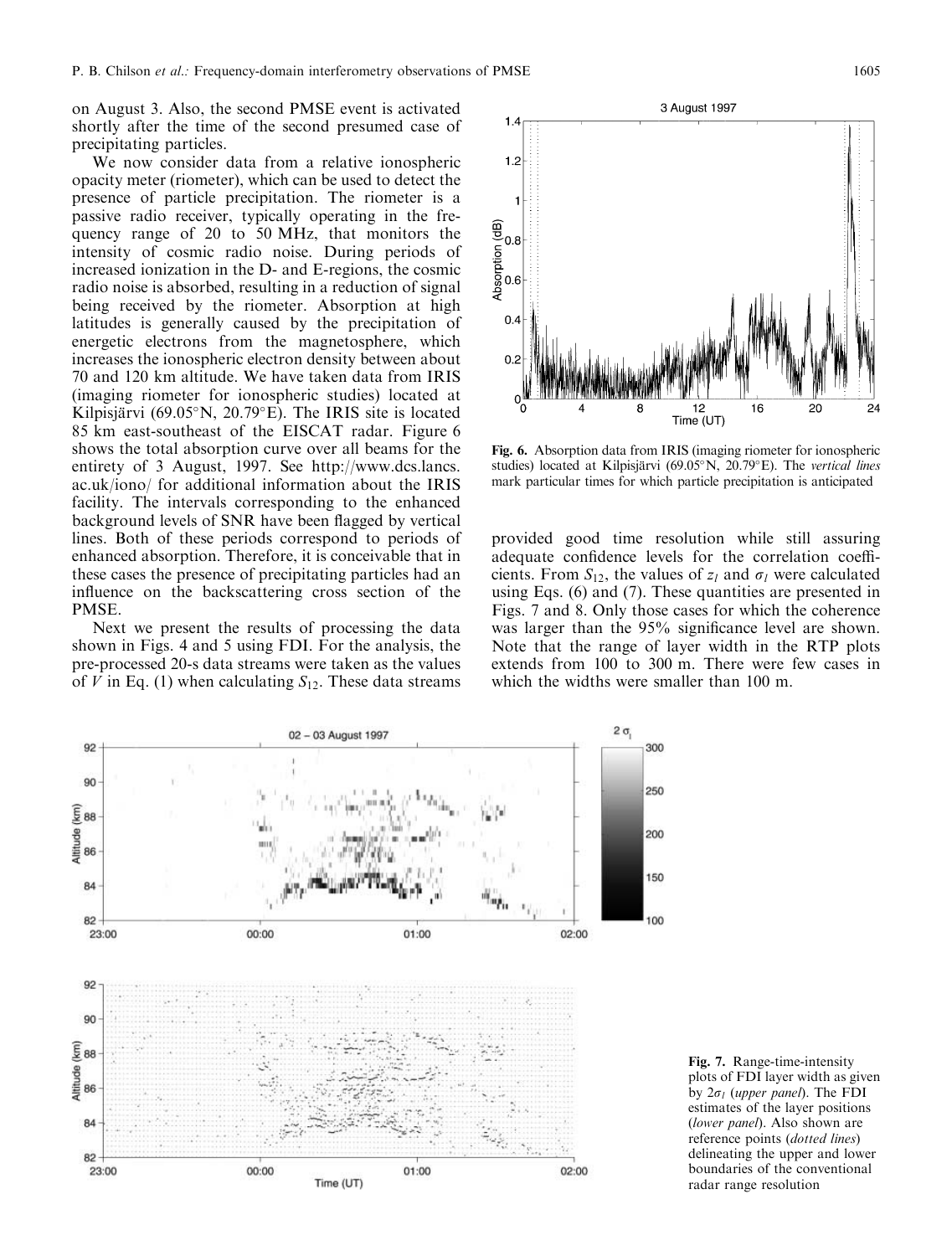on August 3. Also, the second PMSE event is activated shortly after the time of the second presumed case of precipitating particles.

We now consider data from a relative ionospheric opacity meter (riometer), which can be used to detect the presence of particle precipitation. The riometer is a passive radio receiver, typically operating in the frequency range of 20 to 50 MHz, that monitors the intensity of cosmic radio noise. During periods of increased ionization in the D- and E-regions, the cosmic radio noise is absorbed, resulting in a reduction of signal being received by the riometer. Absorption at high latitudes is generally caused by the precipitation of energetic electrons from the magnetosphere, which increases the ionospheric electron density between about 70 and 120 km altitude. We have taken data from IRIS (imaging riometer for ionospheric studies) located at Kilpisjärvi (69.05 $\rm^{\circ}N$ , 20.79 $\rm^{\circ}E$ ). The IRIS site is located 85 km east-southeast of the EISCAT radar. Figure 6 shows the total absorption curve over all beams for the entirety of 3 August, 1997. See http://www.dcs.lancs. ac.uk/iono/ for additional information about the IRIS facility. The intervals corresponding to the enhanced background levels of SNR have been flagged by vertical lines. Both of these periods correspond to periods of enhanced absorption. Therefore, it is conceivable that in these cases the presence of precipitating particles had an influence on the backscattering cross section of the PMSE.

Next we present the results of processing the data shown in Figs. 4 and 5 using FDI. For the analysis, the pre-processed 20-s data streams were taken as the values of V in Eq. (1) when calculating  $S_{12}$ . These data streams



Fig. 6. Absorption data from IRIS (imaging riometer for ionospheric studies) located at Kilpisjärvi (69.05°N, 20.79°E). The vertical lines mark particular times for which particle precipitation is anticipated

provided good time resolution while still assuring adequate confidence levels for the correlation coefficients. From  $S_{12}$ , the values of  $z_l$  and  $\sigma_l$  were calculated using Eqs.  $(6)$  and  $(7)$ . These quantities are presented in Figs. 7 and 8. Only those cases for which the coherence was larger than the 95% significance level are shown. Note that the range of layer width in the RTP plots extends from 100 to 300 m. There were few cases in which the widths were smaller than 100 m.



Fig. 7. Range-time-intensity plots of FDI layer width as given by  $2\sigma_l$  (upper panel). The FDI estimates of the layer positions (lower panel). Also shown are reference points (dotted lines) delineating the upper and lower boundaries of the conventional radar range resolution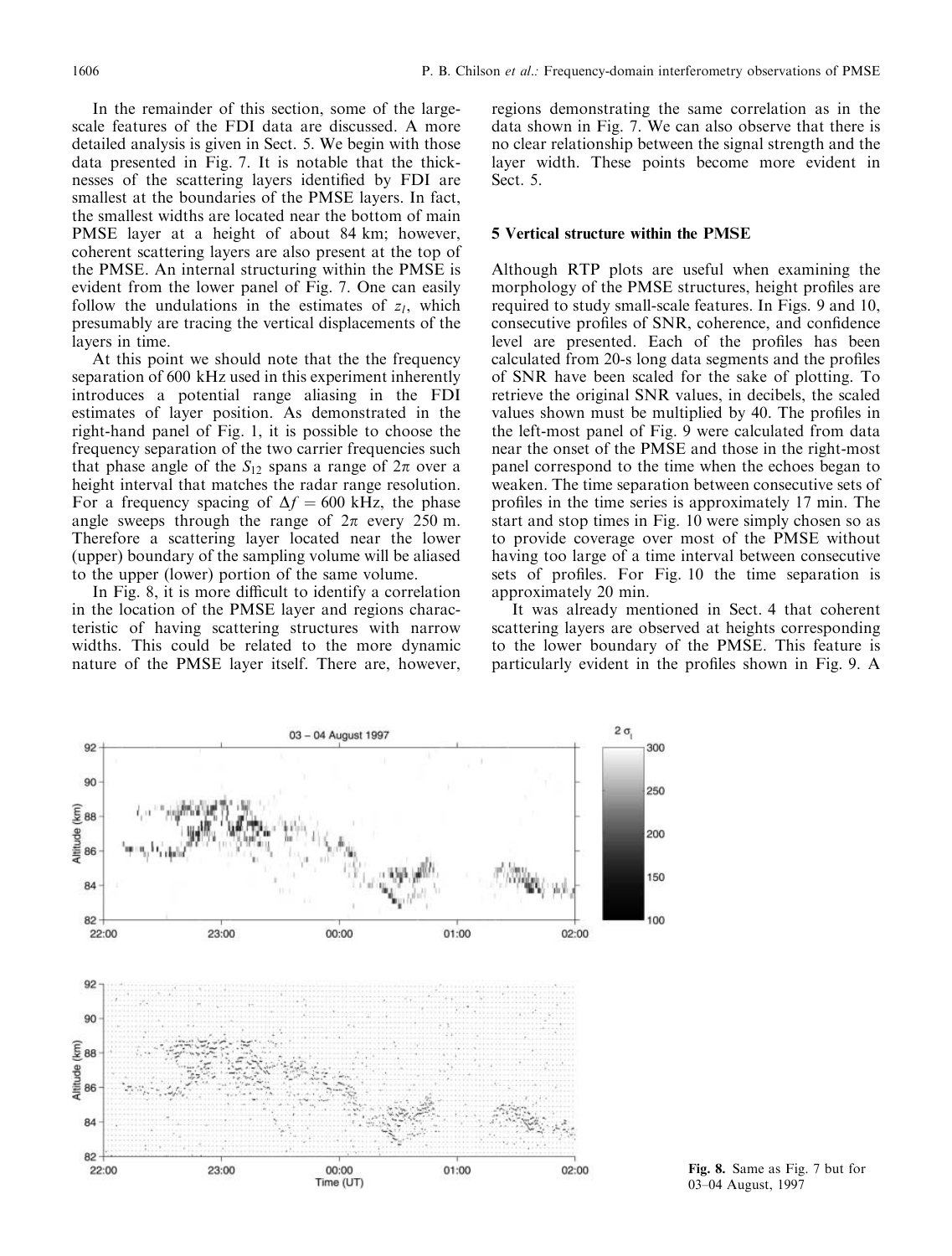In the remainder of this section, some of the largescale features of the FDI data are discussed. A more detailed analysis is given in Sect. 5. We begin with those data presented in Fig. 7. It is notable that the thicknesses of the scattering layers identified by FDI are smallest at the boundaries of the PMSE layers. In fact, the smallest widths are located near the bottom of main PMSE layer at a height of about 84 km; however, coherent scattering layers are also present at the top of the PMSE. An internal structuring within the PMSE is evident from the lower panel of Fig. 7. One can easily follow the undulations in the estimates of  $z_l$ , which presumably are tracing the vertical displacements of the layers in time.

At this point we should note that the the frequency separation of 600 kHz used in this experiment inherently introduces a potential range aliasing in the FDI estimates of layer position. As demonstrated in the right-hand panel of Fig. 1, it is possible to choose the frequency separation of the two carrier frequencies such that phase angle of the  $S_{12}$  spans a range of  $2\pi$  over a height interval that matches the radar range resolution. For a frequency spacing of  $\Delta f = 600$  kHz, the phase angle sweeps through the range of  $2\pi$  every 250 m. Therefore a scattering layer located near the lower (upper) boundary of the sampling volume will be aliased to the upper (lower) portion of the same volume.

In Fig. 8, it is more difficult to identify a correlation in the location of the PMSE layer and regions characteristic of having scattering structures with narrow widths. This could be related to the more dynamic nature of the PMSE layer itself. There are, however,

regions demonstrating the same correlation as in the data shown in Fig. 7. We can also observe that there is no clear relationship between the signal strength and the layer width. These points become more evident in Sect. 5.

#### 5 Vertical structure within the PMSE

Although RTP plots are useful when examining the morphology of the PMSE structures, height profiles are required to study small-scale features. In Figs. 9 and 10, consecutive profiles of SNR, coherence, and confidence level are presented. Each of the profiles has been calculated from 20-s long data segments and the profiles of SNR have been scaled for the sake of plotting. To retrieve the original SNR values, in decibels, the scaled values shown must be multiplied by 40. The profiles in the left-most panel of Fig. 9 were calculated from data near the onset of the PMSE and those in the right-most panel correspond to the time when the echoes began to weaken. The time separation between consecutive sets of profiles in the time series is approximately 17 min. The start and stop times in Fig. 10 were simply chosen so as to provide coverage over most of the PMSE without having too large of a time interval between consecutive sets of profiles. For Fig. 10 the time separation is approximately 20 min.

It was already mentioned in Sect. 4 that coherent scattering layers are observed at heights corresponding to the lower boundary of the PMSE. This feature is particularly evident in the profiles shown in Fig. 9. A



Fig. 8. Same as Fig. 7 but for 03-04 August, 1997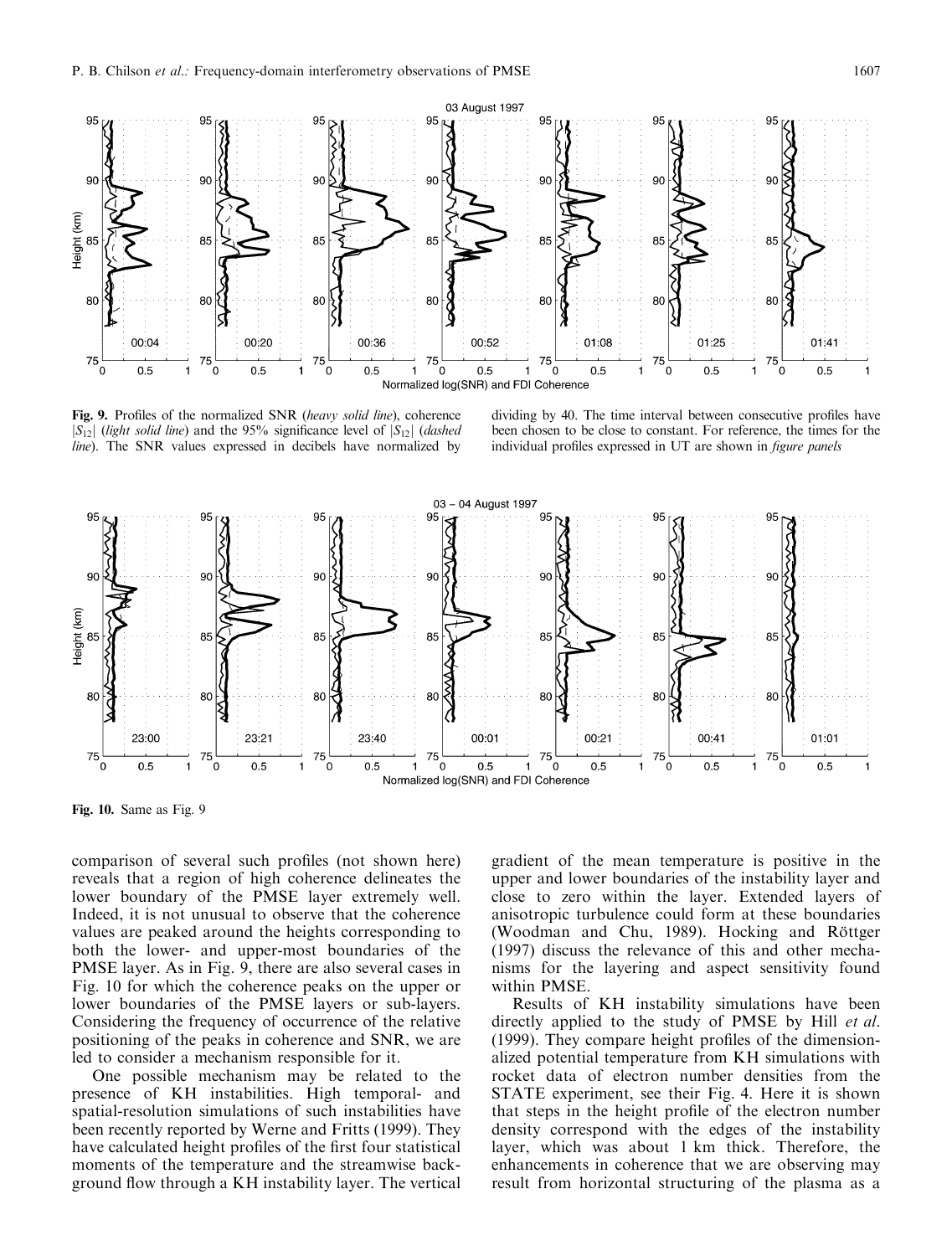

Fig. 9. Profiles of the normalized SNR (heavy solid line), coherence  $|S_{12}|$  (light solid line) and the 95% significance level of  $|S_{12}|$  (dashed *line*). The SNR values expressed in decibels have normalized by

dividing by 40. The time interval between consecutive profiles have been chosen to be close to constant. For reference, the times for the individual profiles expressed in UT are shown in *figure panels* 



Fig. 10. Same as Fig. 9

comparison of several such profiles (not shown here) reveals that a region of high coherence delineates the lower boundary of the PMSE layer extremely well. Indeed, it is not unusual to observe that the coherence values are peaked around the heights corresponding to both the lower- and upper-most boundaries of the PMSE layer. As in Fig. 9, there are also several cases in Fig. 10 for which the coherence peaks on the upper or lower boundaries of the PMSE layers or sub-layers. Considering the frequency of occurrence of the relative positioning of the peaks in coherence and SNR, we are led to consider a mechanism responsible for it.

One possible mechanism may be related to the presence of KH instabilities. High temporal- and spatial-resolution simulations of such instabilities have been recently reported by Werne and Fritts (1999). They have calculated height profiles of the first four statistical moments of the temperature and the streamwise background flow through a KH instability layer. The vertical

gradient of the mean temperature is positive in the upper and lower boundaries of the instability layer and close to zero within the layer. Extended layers of anisotropic turbulence could form at these boundaries (Woodman and Chu, 1989). Hocking and Röttger (1997) discuss the relevance of this and other mechanisms for the layering and aspect sensitivity found within PMSE.

Results of KH instability simulations have been directly applied to the study of PMSE by Hill et al. (1999). They compare height profiles of the dimensionalized potential temperature from KH simulations with rocket data of electron number densities from the STATE experiment, see their Fig. 4. Here it is shown that steps in the height profile of the electron number density correspond with the edges of the instability layer, which was about 1 km thick. Therefore, the enhancements in coherence that we are observing may result from horizontal structuring of the plasma as a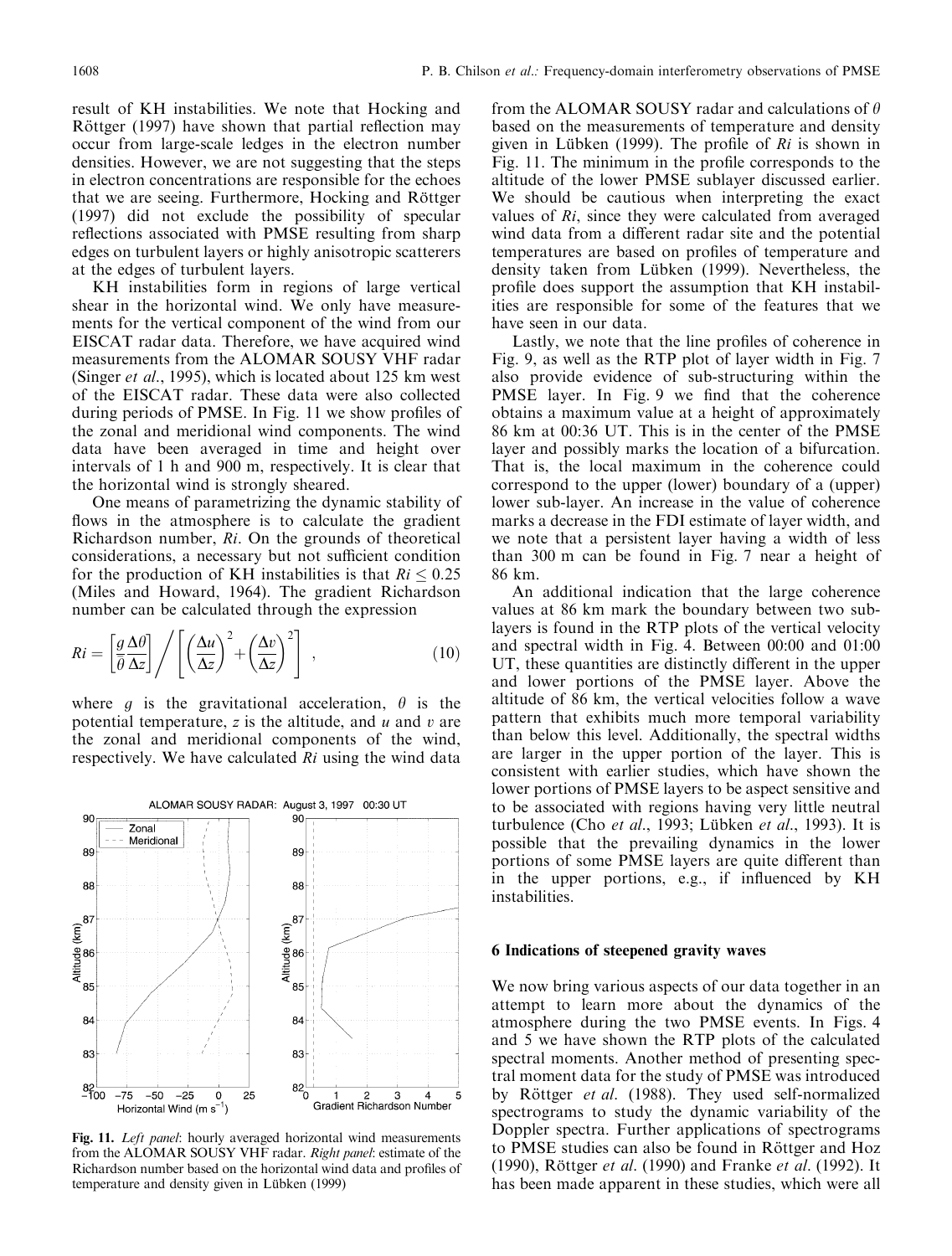result of KH instabilities. We note that Hocking and Röttger (1997) have shown that partial reflection may occur from large-scale ledges in the electron number densities. However, we are not suggesting that the steps in electron concentrations are responsible for the echoes that we are seeing. Furthermore, Hocking and Röttger (1997) did not exclude the possibility of specular reflections associated with PMSE resulting from sharp edges on turbulent layers or highly anisotropic scatterers at the edges of turbulent layers.

KH instabilities form in regions of large vertical shear in the horizontal wind. We only have measurements for the vertical component of the wind from our EISCAT radar data. Therefore, we have acquired wind measurements from the ALOMAR SOUSY VHF radar (Singer et al., 1995), which is located about 125 km west of the EISCAT radar. These data were also collected during periods of PMSE. In Fig. 11 we show profiles of the zonal and meridional wind components. The wind data have been averaged in time and height over intervals of 1 h and 900 m, respectively. It is clear that the horizontal wind is strongly sheared.

One means of parametrizing the dynamic stability of flows in the atmosphere is to calculate the gradient Richardson number, Ri. On the grounds of theoretical considerations, a necessary but not sufficient condition for the production of KH instabilities is that  $Ri \leq 0.25$ (Miles and Howard, 1964). The gradient Richardson number can be calculated through the expression

$$
Ri = \left[\frac{g \Delta \theta}{\overline{\theta} \Delta z}\right] / \left[\left(\frac{\Delta u}{\Delta z}\right)^2 + \left(\frac{\Delta v}{\Delta z}\right)^2\right],
$$
 (10)

where g is the gravitational acceleration,  $\theta$  is the potential temperature,  $z$  is the altitude, and  $u$  and  $v$  are the zonal and meridional components of the wind, respectively. We have calculated Ri using the wind data



Fig. 11. Left panel: hourly averaged horizontal wind measurements from the ALOMAR SOUSY VHF radar. Right panel: estimate of the Richardson number based on the horizontal wind data and profiles of temperature and density given in Lübken (1999)

from the ALOMAR SOUSY radar and calculations of  $\theta$ based on the measurements of temperature and density given in Lübken (1999). The profile of  $Ri$  is shown in Fig. 11. The minimum in the profile corresponds to the altitude of the lower PMSE sublayer discussed earlier. We should be cautious when interpreting the exact values of Ri, since they were calculated from averaged wind data from a different radar site and the potential temperatures are based on profiles of temperature and density taken from Lübken (1999). Nevertheless, the profile does support the assumption that KH instabilities are responsible for some of the features that we have seen in our data.

Lastly, we note that the line profiles of coherence in Fig. 9, as well as the RTP plot of layer width in Fig. 7 also provide evidence of sub-structuring within the PMSE layer. In Fig. 9 we find that the coherence obtains a maximum value at a height of approximately 86 km at 00:36 UT. This is in the center of the PMSE layer and possibly marks the location of a bifurcation. That is, the local maximum in the coherence could correspond to the upper (lower) boundary of a (upper) lower sub-layer. An increase in the value of coherence marks a decrease in the FDI estimate of layer width, and we note that a persistent layer having a width of less than 300 m can be found in Fig. 7 near a height of 86 km.

An additional indication that the large coherence values at 86 km mark the boundary between two sublayers is found in the RTP plots of the vertical velocity and spectral width in Fig. 4. Between 00:00 and 01:00 UT, these quantities are distinctly different in the upper and lower portions of the PMSE layer. Above the altitude of 86 km, the vertical velocities follow a wave pattern that exhibits much more temporal variability than below this level. Additionally, the spectral widths are larger in the upper portion of the layer. This is consistent with earlier studies, which have shown the lower portions of PMSE layers to be aspect sensitive and to be associated with regions having very little neutral turbulence (Cho et al., 1993; Lübken et al., 1993). It is possible that the prevailing dynamics in the lower portions of some PMSE layers are quite different than in the upper portions, e.g., if influenced by KH instabilities.

## 6 Indications of steepened gravity waves

We now bring various aspects of our data together in an attempt to learn more about the dynamics of the atmosphere during the two PMSE events. In Figs. 4 and 5 we have shown the RTP plots of the calculated spectral moments. Another method of presenting spectral moment data for the study of PMSE was introduced by Röttger et al. (1988). They used self-normalized spectrograms to study the dynamic variability of the Doppler spectra. Further applications of spectrograms to PMSE studies can also be found in Röttger and Hoz (1990), Röttger et al. (1990) and Franke et al. (1992). It has been made apparent in these studies, which were all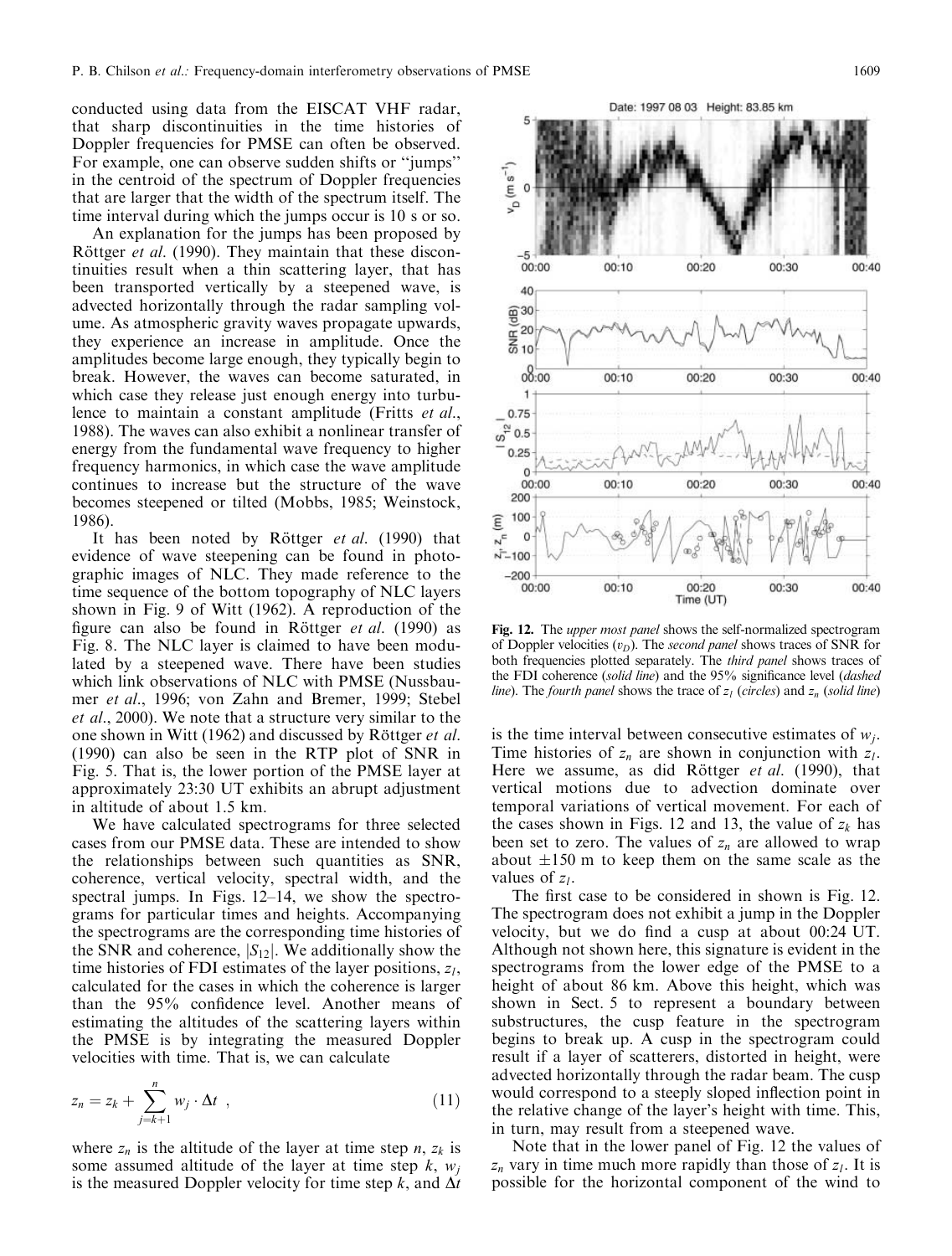conducted using data from the EISCAT VHF radar, that sharp discontinuities in the time histories of Doppler frequencies for PMSE can often be observed. For example, one can observe sudden shifts or "jumps" in the centroid of the spectrum of Doppler frequencies that are larger that the width of the spectrum itself. The time interval during which the jumps occur is 10 s or so.

An explanation for the jumps has been proposed by Röttger et al. (1990). They maintain that these discontinuities result when a thin scattering layer, that has been transported vertically by a steepened wave, is advected horizontally through the radar sampling volume. As atmospheric gravity waves propagate upwards, they experience an increase in amplitude. Once the amplitudes become large enough, they typically begin to break. However, the waves can become saturated, in which case they release just enough energy into turbulence to maintain a constant amplitude (Fritts et al., 1988). The waves can also exhibit a nonlinear transfer of energy from the fundamental wave frequency to higher frequency harmonics, in which case the wave amplitude continues to increase but the structure of the wave becomes steepened or tilted (Mobbs, 1985; Weinstock, 1986).

It has been noted by Röttger et al. (1990) that evidence of wave steepening can be found in photographic images of NLC. They made reference to the time sequence of the bottom topography of NLC layers shown in Fig. 9 of Witt (1962). A reproduction of the figure can also be found in Röttger et al. (1990) as Fig. 8. The NLC layer is claimed to have been modulated by a steepened wave. There have been studies which link observations of NLC with PMSE (Nussbaumer et al., 1996; von Zahn and Bremer, 1999; Stebel *et al.*, 2000). We note that a structure very similar to the one shown in Witt (1962) and discussed by Röttger *et al.* (1990) can also be seen in the RTP plot of SNR in Fig. 5. That is, the lower portion of the PMSE layer at approximately 23:30 UT exhibits an abrupt adjustment in altitude of about 1.5 km.

We have calculated spectrograms for three selected cases from our PMSE data. These are intended to show the relationships between such quantities as SNR, coherence, vertical velocity, spectral width, and the spectral jumps. In Figs. 12–14, we show the spectrograms for particular times and heights. Accompanying the spectrograms are the corresponding time histories of the SNR and coherence,  $|S_{12}|$ . We additionally show the time histories of FDI estimates of the layer positions,  $z_l$ , calculated for the cases in which the coherence is larger than the 95% confidence level. Another means of estimating the altitudes of the scattering layers within the PMSE is by integrating the measured Doppler velocities with time. That is, we can calculate

$$
z_n = z_k + \sum_{j=k+1}^n w_j \cdot \Delta t \quad , \tag{11}
$$

where  $z_n$  is the altitude of the layer at time step n,  $z_k$  is some assumed altitude of the layer at time step  $k$ ,  $w_i$ is the measured Doppler velocity for time step k, and  $\Delta t$ 

Fig. 12. The upper most panel shows the self-normalized spectrogram of Doppler velocities  $(v_D)$ . The second panel shows traces of SNR for both frequencies plotted separately. The *third panel* shows traces of the FDI coherence (solid line) and the 95% significance level (dashed *line*). The *fourth panel* shows the trace of  $z<sub>l</sub>$  (*circles*) and  $z<sub>n</sub>$  (*solid line*)

is the time interval between consecutive estimates of  $w_i$ . Time histories of  $z_n$  are shown in conjunction with  $z_l$ . Here we assume, as did Röttger et al. (1990), that vertical motions due to advection dominate over temporal variations of vertical movement. For each of the cases shown in Figs. 12 and 13, the value of  $z_k$  has been set to zero. The values of  $z_n$  are allowed to wrap about  $\pm 150$  m to keep them on the same scale as the values of  $z_1$ .

The first case to be considered in shown is Fig. 12. The spectrogram does not exhibit a jump in the Doppler velocity, but we do find a cusp at about  $00:24$  UT. Although not shown here, this signature is evident in the spectrograms from the lower edge of the PMSE to a height of about 86 km. Above this height, which was shown in Sect. 5 to represent a boundary between substructures, the cusp feature in the spectrogram begins to break up. A cusp in the spectrogram could result if a layer of scatterers, distorted in height, were advected horizontally through the radar beam. The cusp would correspond to a steeply sloped inflection point in the relative change of the layer's height with time. This, in turn, may result from a steepened wave.

Note that in the lower panel of Fig. 12 the values of  $z_n$  vary in time much more rapidly than those of  $z_l$ . It is possible for the horizontal component of the wind to

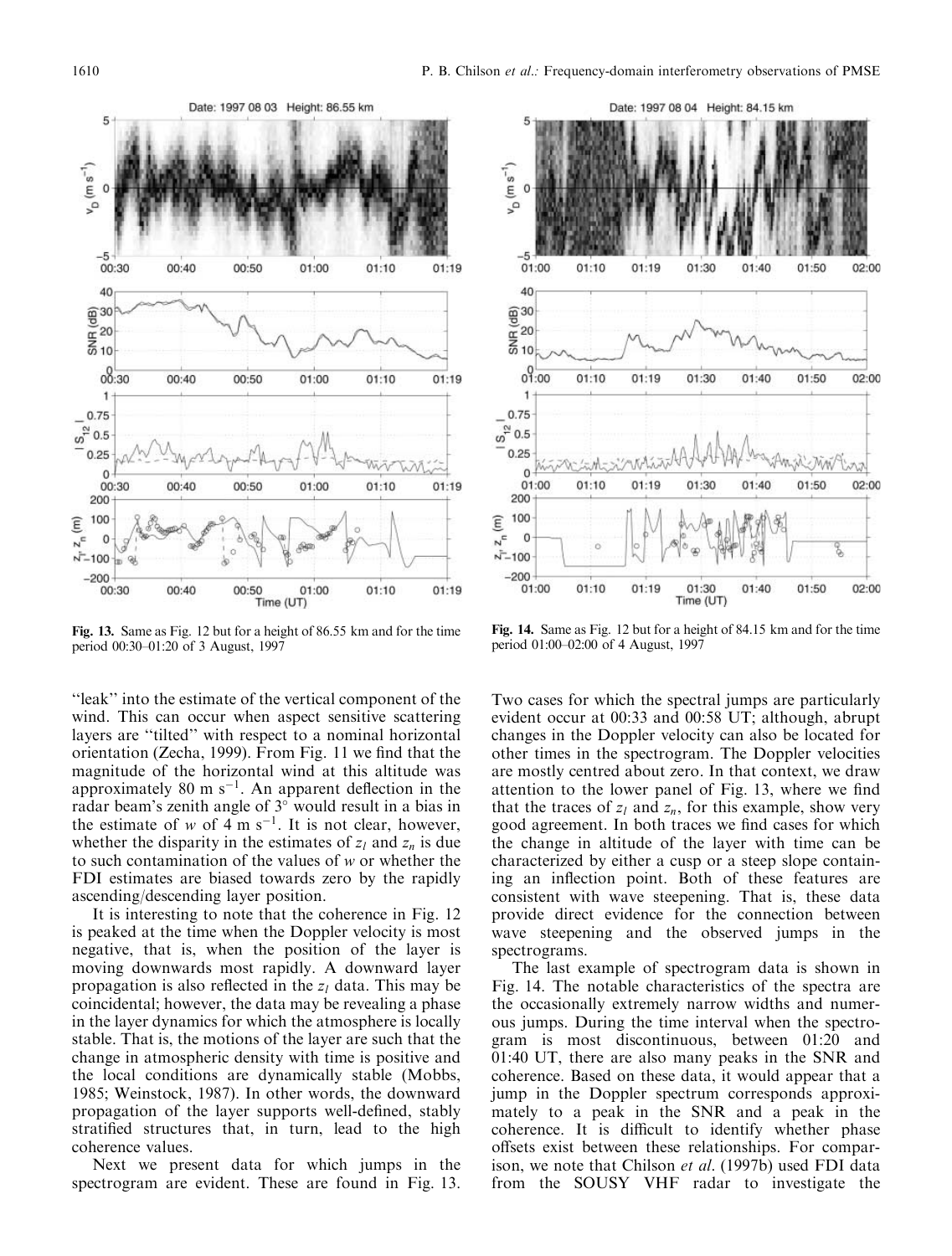

Fig. 13. Same as Fig. 12 but for a height of 86.55 km and for the time period 00:30-01:20 of 3 August, 1997

"leak" into the estimate of the vertical component of the wind. This can occur when aspect sensitive scattering layers are "tilted" with respect to a nominal horizontal orientation (Zecha, 1999). From Fig. 11 we find that the magnitude of the horizontal wind at this altitude was approximately 80 m  $s^{-1}$ . An apparent deflection in the radar beam's zenith angle of 3° would result in a bias in the estimate of w of 4 m s<sup>-1</sup>. It is not clear, however, whether the disparity in the estimates of  $z_l$  and  $z_n$  is due to such contamination of the values of  $w$  or whether the FDI estimates are biased towards zero by the rapidly ascending/descending layer position.

It is interesting to note that the coherence in Fig. 12 is peaked at the time when the Doppler velocity is most negative, that is, when the position of the layer is moving downwards most rapidly. A downward layer propagation is also reflected in the  $z_l$  data. This may be coincidental; however, the data may be revealing a phase in the layer dynamics for which the atmosphere is locally stable. That is, the motions of the layer are such that the change in atmospheric density with time is positive and the local conditions are dynamically stable (Mobbs, 1985; Weinstock, 1987). In other words, the downward propagation of the layer supports well-defined, stably stratified structures that, in turn, lead to the high coherence values.

Next we present data for which jumps in the spectrogram are evident. These are found in Fig. 13.



Fig. 14. Same as Fig. 12 but for a height of 84.15 km and for the time period 01:00-02:00 of 4 August, 1997

Two cases for which the spectral jumps are particularly evident occur at 00:33 and 00:58 UT; although, abrupt changes in the Doppler velocity can also be located for other times in the spectrogram. The Doppler velocities are mostly centred about zero. In that context, we draw attention to the lower panel of Fig. 13, where we find that the traces of  $z_l$  and  $z_n$ , for this example, show very good agreement. In both traces we find cases for which the change in altitude of the layer with time can be characterized by either a cusp or a steep slope containing an inflection point. Both of these features are consistent with wave steepening. That is, these data provide direct evidence for the connection between wave steepening and the observed jumps in the spectrograms.

The last example of spectrogram data is shown in Fig. 14. The notable characteristics of the spectra are the occasionally extremely narrow widths and numerous jumps. During the time interval when the spectrogram is most discontinuous, between 01:20 and 01:40 UT, there are also many peaks in the SNR and coherence. Based on these data, it would appear that a jump in the Doppler spectrum corresponds approximately to a peak in the SNR and a peak in the coherence. It is difficult to identify whether phase offsets exist between these relationships. For comparison, we note that Chilson et al. (1997b) used FDI data from the SOUSY VHF radar to investigate the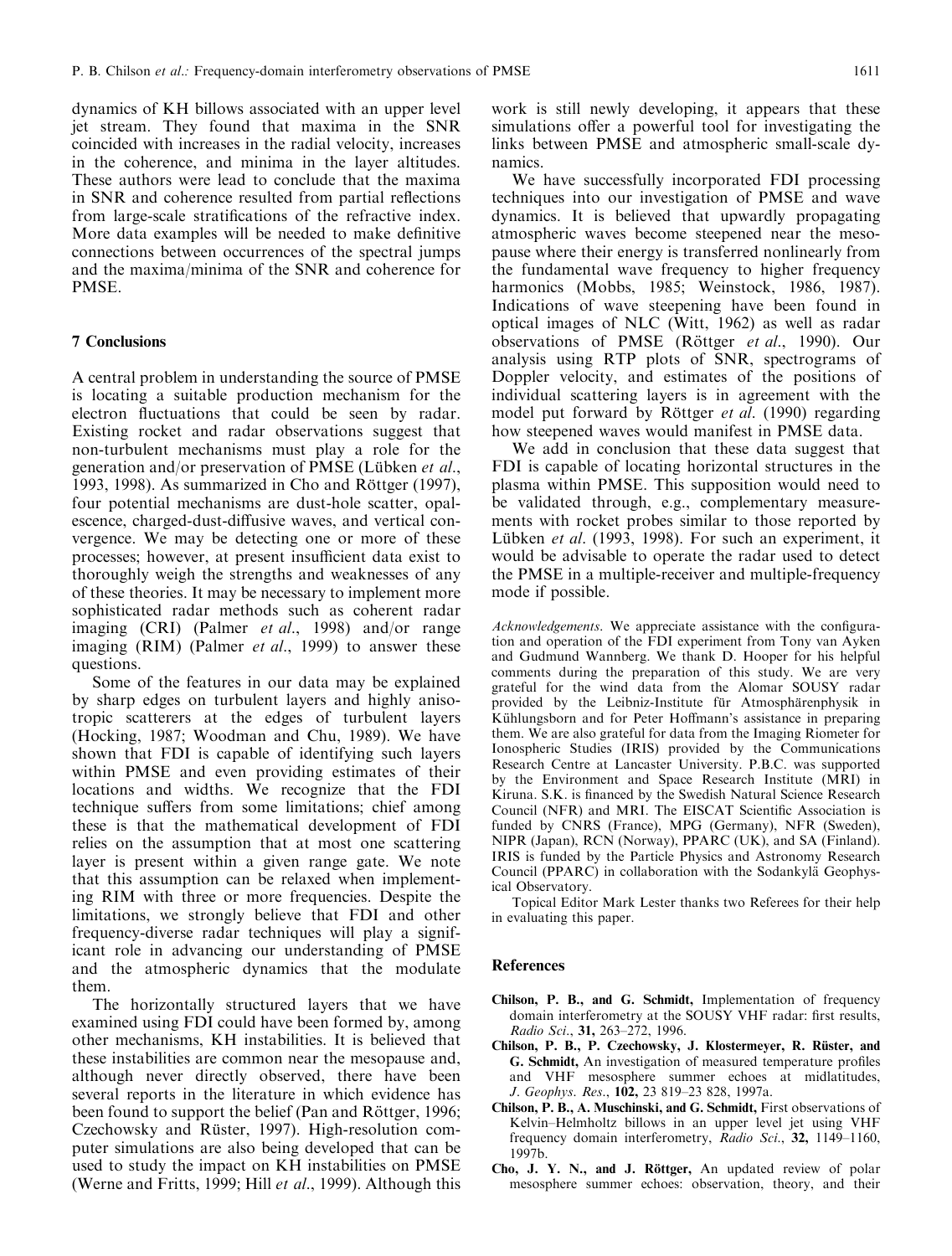dynamics of KH billows associated with an upper level jet stream. They found that maxima in the SNR coincided with increases in the radial velocity, increases in the coherence, and minima in the layer altitudes. These authors were lead to conclude that the maxima in SNR and coherence resulted from partial reflections from large-scale stratifications of the refractive index. More data examples will be needed to make definitive connections between occurrences of the spectral jumps and the maxima/minima of the SNR and coherence for PMSE.

### **7 Conclusions**

A central problem in understanding the source of PMSE is locating a suitable production mechanism for the electron fluctuations that could be seen by radar. Existing rocket and radar observations suggest that non-turbulent mechanisms must play a role for the generation and/or preservation of PMSE (Lübken et al., 1993, 1998). As summarized in Cho and Röttger (1997), four potential mechanisms are dust-hole scatter, opalescence, charged-dust-diffusive waves, and vertical convergence. We may be detecting one or more of these processes; however, at present insufficient data exist to thoroughly weigh the strengths and weaknesses of any of these theories. It may be necessary to implement more sophisticated radar methods such as coherent radar imaging (CRI) (Palmer et al., 1998) and/or range imaging (RIM) (Palmer et al., 1999) to answer these questions.

Some of the features in our data may be explained by sharp edges on turbulent layers and highly anisotropic scatterers at the edges of turbulent layers (Hocking, 1987; Woodman and Chu, 1989). We have shown that FDI is capable of identifying such layers within PMSE and even providing estimates of their locations and widths. We recognize that the FDI technique suffers from some limitations; chief among these is that the mathematical development of FDI relies on the assumption that at most one scattering layer is present within a given range gate. We note that this assumption can be relaxed when implementing RIM with three or more frequencies. Despite the limitations, we strongly believe that FDI and other frequency-diverse radar techniques will play a significant role in advancing our understanding of PMSE and the atmospheric dynamics that the modulate them.

The horizontally structured layers that we have examined using FDI could have been formed by, among other mechanisms, KH instabilities. It is believed that these instabilities are common near the mesopause and, although never directly observed, there have been several reports in the literature in which evidence has been found to support the belief (Pan and Röttger, 1996; Czechowsky and Rüster, 1997). High-resolution computer simulations are also being developed that can be used to study the impact on KH instabilities on PMSE (Werne and Fritts, 1999; Hill *et al.*, 1999). Although this

work is still newly developing, it appears that these simulations offer a powerful tool for investigating the links between PMSE and atmospheric small-scale dynamics.

We have successfully incorporated FDI processing techniques into our investigation of PMSE and wave dynamics. It is believed that upwardly propagating atmospheric waves become steepened near the mesopause where their energy is transferred nonlinearly from the fundamental wave frequency to higher frequency harmonics (Mobbs, 1985; Weinstock, 1986, 1987). Indications of wave steepening have been found in optical images of NLC (Witt, 1962) as well as radar observations of PMSE (Röttger et al., 1990). Our analysis using RTP plots of SNR, spectrograms of Doppler velocity, and estimates of the positions of individual scattering layers is in agreement with the model put forward by Röttger *et al.* (1990) regarding how steepened waves would manifest in PMSE data.

We add in conclusion that these data suggest that FDI is capable of locating horizontal structures in the plasma within PMSE. This supposition would need to be validated through, e.g., complementary measurements with rocket probes similar to those reported by Lübken et al. (1993, 1998). For such an experiment, it would be advisable to operate the radar used to detect the PMSE in a multiple-receiver and multiple-frequency mode if possible.

Acknowledgements. We appreciate assistance with the configuration and operation of the FDI experiment from Tony van Ayken and Gudmund Wannberg. We thank D. Hooper for his helpful comments during the preparation of this study. We are very grateful for the wind data from the Alomar SOUSY radar provided by the Leibniz-Institute für Atmosphärenphysik in Kühlungsborn and for Peter Hoffmann's assistance in preparing them. We are also grateful for data from the Imaging Riometer for Ionospheric Studies (IRIS) provided by the Communications Research Centre at Lancaster University. P.B.C. was supported by the Environment and Space Research Institute (MRI) in Kiruna. S.K. is financed by the Swedish Natural Science Research Council (NFR) and MRI. The EISCAT Scientific Association is funded by CNRS (France), MPG (Germany), NFR (Sweden), NIPR (Japan), RCN (Norway), PPARC (UK), and SA (Finland). IRIS is funded by the Particle Physics and Astronomy Research Council (PPARC) in collaboration with the Sodankylä Geophysical Observatory.

Topical Editor Mark Lester thanks two Referees for their help in evaluating this paper.

#### **References**

- Chilson, P. B., and G. Schmidt, Implementation of frequency domain interferometry at the SOUSY VHF radar: first results, Radio Sci., 31, 263-272, 1996.
- Chilson, P. B., P. Czechowsky, J. Klostermeyer, R. Rüster, and G. Schmidt, An investigation of measured temperature profiles and VHF mesosphere summer echoes at midlatitudes, J. Geophys. Res., 102, 23 819-23 828, 1997a.
- Chilson, P. B., A. Muschinski, and G. Schmidt, First observations of Kelvin-Helmholtz billows in an upper level jet using VHF frequency domain interferometry, Radio Sci., 32, 1149-1160, 1997<sub>b</sub>
- Cho, J. Y. N., and J. Röttger, An updated review of polar mesosphere summer echoes: observation, theory, and their